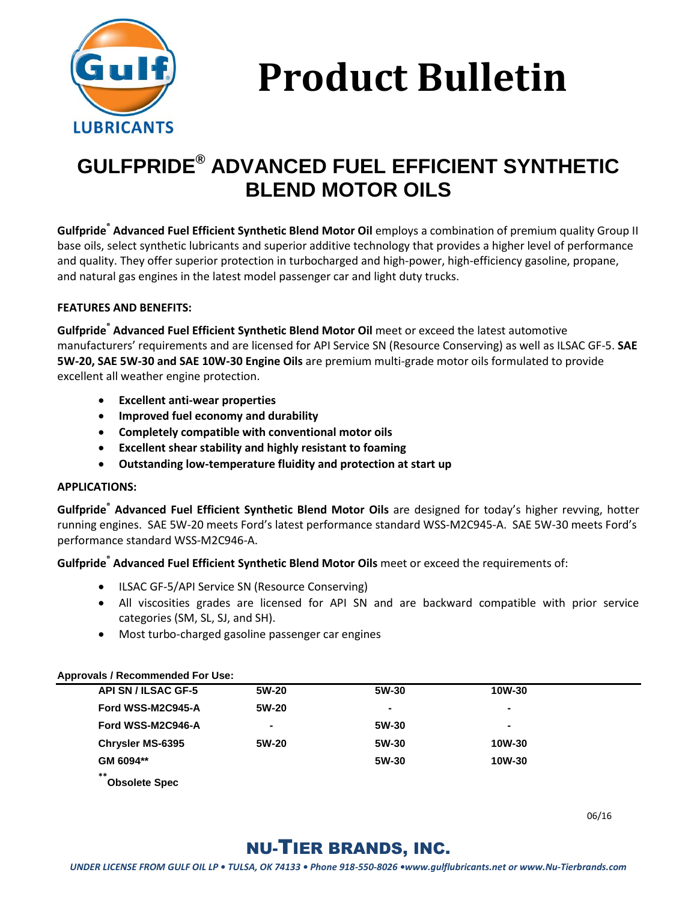

# **Product Bulletin**

# **GULFPRIDE® ADVANCED FUEL EFFICIENT SYNTHETIC BLEND MOTOR OILS**

**Gulfpride® Advanced Fuel Efficient Synthetic Blend Motor Oil** employs a combination of premium quality Group II base oils, select synthetic lubricants and superior additive technology that provides a higher level of performance and quality. They offer superior protection in turbocharged and high-power, high-efficiency gasoline, propane, and natural gas engines in the latest model passenger car and light duty trucks.

#### **FEATURES AND BENEFITS:**

**Gulfpride® Advanced Fuel Efficient Synthetic Blend Motor Oil** meet or exceed the latest automotive manufacturers' requirements and are licensed for API Service SN (Resource Conserving) as well as ILSAC GF-5. **SAE 5W-20, SAE 5W-30 and SAE 10W-30 Engine Oils** are premium multi-grade motor oils formulated to provide excellent all weather engine protection.

- **Excellent anti-wear properties**
- **Improved fuel economy and durability**
- **Completely compatible with conventional motor oils**
- **Excellent shear stability and highly resistant to foaming**
- **Outstanding low-temperature fluidity and protection at start up**

#### **APPLICATIONS:**

**Gulfpride® Advanced Fuel Efficient Synthetic Blend Motor Oils** are designed for today's higher revving, hotter running engines. SAE 5W-20 meets Ford's latest performance standard WSS-M2C945-A. SAE 5W-30 meets Ford's performance standard WSS-M2C946-A.

**Gulfpride® Advanced Fuel Efficient Synthetic Blend Motor Oils** meet or exceed the requirements of:

- ILSAC GF-5/API Service SN (Resource Conserving)
- All viscosities grades are licensed for API SN and are backward compatible with prior service categories (SM, SL, SJ, and SH).
- Most turbo-charged gasoline passenger car engines

#### **Approvals / Recommended For Use:**

| <b>API SN / ILSAC GF-5</b>   | 5W-20 | 5W-30 | 10W-30         |  |
|------------------------------|-------|-------|----------------|--|
| Ford WSS-M2C945-A            | 5W-20 |       |                |  |
| Ford WSS-M2C946-A            | ۰     | 5W-30 | $\blacksquare$ |  |
| <b>Chrysler MS-6395</b>      | 5W-20 | 5W-30 | 10W-30         |  |
| GM 6094**                    |       | 5W-30 | 10W-30         |  |
| $**$<br><b>Obsolete Spec</b> |       |       |                |  |

06/16

## NU-TIER BRANDS, INC.